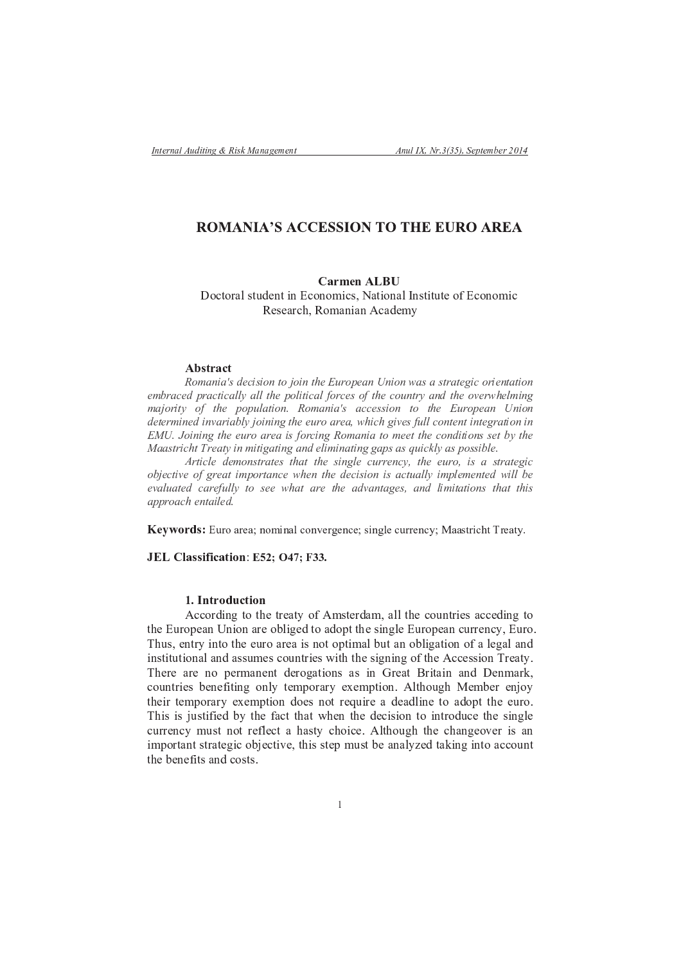# **ROMANIA'S ACCESSION TO THE EURO AREA**

### Carmen ALB

- . / <sup>0</sup> . <sup>1</sup> <sup>2</sup> <sup>3</sup> <sup>4</sup> <sup>0</sup> <sup>5</sup> <sup>6</sup> <sup>7</sup> <sup>8</sup> <sup>0</sup> <sup>9</sup> <sup>8</sup> : / . <sup>8</sup> . ; <sup>9</sup> / <sup>4</sup> <sup>&</sup>lt; <sup>=</sup> <sup>2</sup> <sup>0</sup> <sup>9</sup> . <sup>8</sup> <sup>2</sup> <sup>3</sup> <sup>&</sup>gt; <sup>8</sup> <sup>4</sup> <sup>0</sup> <sup>9</sup> <sup>0</sup> <sup>5</sup> <sup>0</sup> <sup>7</sup> . ? : / . <sup>8</sup> . ; <sup>9</sup> / @ <sup>7</sup> <sup>4</sup> <sup>7</sup> <sup>2</sup> <sup>1</sup> / <sup>A</sup> <sup>&</sup>lt; @ . ; <sup>2</sup> <sup>8</sup> <sup>9</sup> <sup>2</sup> <sup>8</sup> <sup>B</sup> / <sup>2</sup> <sup>6</sup> <sup>7</sup> ; <sup>C</sup>

#### $\blacksquare$  . The first state  $\blacksquare$

H <sup>I</sup> <sup>J</sup> <sup>K</sup> <sup>L</sup> <sup>M</sup> <sup>K</sup> <sup>N</sup> O <sup>P</sup> <sup>Q</sup> <sup>R</sup> <sup>M</sup> <sup>O</sup> <sup>M</sup> <sup>I</sup> <sup>L</sup> <sup>S</sup> <sup>I</sup> <sup>T</sup> <sup>I</sup> <sup>M</sup> <sup>L</sup> <sup>S</sup> <sup>U</sup> <sup>Q</sup> <sup>V</sup> <sup>W</sup> <sup>X</sup> <sup>I</sup> <sup>Y</sup> <sup>Q</sup> <sup>K</sup> <sup>L</sup> <sup>Z</sup> <sup>L</sup> <sup>M</sup> <sup>I</sup> <sup>L</sup> [ <sup>K</sup> <sup>O</sup> <sup>K</sup> <sup>O</sup> <sup>S</sup> <sup>X</sup> <sup>K</sup> <sup>S</sup> <sup>Q</sup> \ <sup>M</sup> <sup>R</sup> <sup>I</sup> <sup>X</sup> <sup>M</sup> <sup>Q</sup> <sup>L</sup> <sup>S</sup> <sup>K</sup> <sup>S</sup> <sup>M</sup> <sup>I</sup> <sup>L</sup>  $\mathcal{A}$  , and the set of the set of the set of the set of the set of the set of the set of the set of the set of the set of the set of the set of the set of the set of the set of the set of the set of the set of the set  $J = 1, 1, 2, \ldots, N$  and the H internal basic decomposition of the H i L  $\alpha$  and  $\alpha$  and  $\alpha$  and  $\alpha$  and  $\alpha$  and  $\alpha$   $\alpha$  is the H i L  $\alpha$  and  $\alpha$  and  $\alpha$  and  $\alpha$  and  $\alpha$  and  $\alpha$  and  $\alpha$  and  $\alpha$  and  $\alpha$  and P <sup>Q</sup> <sup>S</sup> <sup>Q</sup> <sup>X</sup> <sup>J</sup> <sup>M</sup> <sup>L</sup> <sup>Q</sup> <sup>P</sup> <sup>M</sup> <sup>L</sup> <sup>a</sup> <sup>K</sup> <sup>X</sup> <sup>M</sup> <sup>K</sup> ] ^ \_ <sup>T</sup> <sup>I</sup> <sup>M</sup> <sup>L</sup> <sup>M</sup> <sup>L</sup> \ <sup>S</sup> <sup>U</sup> <sup>Q</sup> <sup>Q</sup> <sup>W</sup> <sup>X</sup> <sup>I</sup> <sup>K</sup> <sup>X</sup> <sup>Q</sup> <sup>K</sup> <sup>c</sup> [ <sup>U</sup> <sup>M</sup> <sup>R</sup> <sup>U</sup> \ <sup>M</sup> <sup>a</sup> <sup>Q</sup> <sup>O</sup> ` <sup>W</sup> ^ ^ <sup>R</sup> <sup>I</sup> <sup>L</sup> <sup>S</sup> <sup>Q</sup> <sup>L</sup> <sup>S</sup> <sup>M</sup> <sup>L</sup> <sup>S</sup> <sup>Q</sup> \ <sup>X</sup> <sup>K</sup> <sup>S</sup> <sup>M</sup> <sup>I</sup> <sup>L</sup> <sup>M</sup> <sup>L</sup>  $\mathcal{P} \cap \mathcal{P} \cap \mathcal{P} \cap \mathcal{P} \cap \mathcal{P} \cap \mathcal{P} \cap \mathcal{P} \cap \mathcal{P} \cap \mathcal{P} \cap \mathcal{P} \cap \mathcal{P} \cap \mathcal{P} \cap \mathcal{P} \cap \mathcal{P} \cap \mathcal{P} \cap \mathcal{P} \cap \mathcal{P} \cap \mathcal{P} \cap \mathcal{P} \cap \mathcal{P} \cap \mathcal{P} \cap \mathcal{P} \cap \mathcal{P} \cap \mathcal{P} \cap \mathcal{P} \cap \mathcal{P} \cap \mathcal{P} \cap \mathcal{$ d K  $\kappa$  and the contribution of the contribution of the contribution of the contribution of the contribution of  $\kappa$ 

 $\overline{N}$  , and a contract the contract of the contract of the contract of the contract of  $\overline{N}$   $\overline{N}$   $\overline{N}$   $\overline{N}$   $\overline{N}$   $\overline{N}$   $\overline{N}$   $\overline{N}$   $\overline{N}$   $\overline{N}$   $\overline{N}$   $\overline{N}$   $\overline{N}$   $\overline{N}$   $\overline{$  $\mathcal{M} = \mathcal{M} = \mathcal{M} = \mathcal{M} = \mathcal{M} = \mathcal{M} = \mathcal{M} = \mathcal{M} = \mathcal{M} = \mathcal{M} = \mathcal{M} = \mathcal{M} = \mathcal{M} = \mathcal{M} = \mathcal{M} = \mathcal{M} = \mathcal{M} = \mathcal{M} = \mathcal{M} = \mathcal{M} = \mathcal{M} = \mathcal{M} = \mathcal{M} = \mathcal{M} = \mathcal{M} = \mathcal{M} = \mathcal{M} = \mathcal{M} = \mathcal{M} = \mathcal{M} = \mathcal{M} = \mathcal$  $\mathbf{v} = \mathbf{v} = \mathbf{v}$ 

 $\mathcal{N} \subset \mathcal{N}$  is a subset of the contract of the contract of the contract of the contract of the contract of the contract of the contract of the contract of the contract of the contract of the contract of the contract

**Keywords:** Euro area: nominal convergence: single currency: Maastricht Treaty.

#### \* # \$ <sup>E</sup> <sup>E</sup> <sup>G</sup> \$ <sup>F</sup> <sup>m</sup> (

### $\sim$   $\sim$   $\sim$   $\sim$   $\sim$

0 <sup>A</sup> <sup>7</sup> : <sup>5</sup> <sup>1</sup> . <sup>7</sup> <sup>2</sup> <sup>8</sup> <sup>8</sup> <sup>9</sup> . <sup>8</sup> <sup>2</sup> <sup>1</sup> <sup>7</sup> . <sup>3</sup> <sup>9</sup> <sup>7</sup> <sup>6</sup> <sup>0</sup> . <sup>2</sup> <sup>6</sup> . <sup>0</sup> <sup>0</sup> <sup>A</sup> <sup>7</sup> <sup>4</sup> <sup>9</sup> <sup>8</sup> <sup>3</sup> <sup>7</sup> : <sup>5</sup> <sup>1</sup> . <sup>7</sup> <sup>2</sup> <sup>8</sup> / <sup>5</sup> <sup>1</sup> <sup>1</sup> <sup>7</sup> <sup>8</sup> / <sup>C</sup> <sup>&</sup>lt; : <sup>5</sup> <sup>1</sup> . <sup>A</sup> <sup>5</sup> <sup>4</sup> <sup>&</sup>lt; <sup>7</sup> <sup>8</sup> <sup>0</sup> <sup>1</sup> <sup>C</sup> <sup>9</sup> <sup>8</sup> <sup>0</sup> . <sup>0</sup> <sup>A</sup> <sup>7</sup> <sup>7</sup> <sup>5</sup> <sup>1</sup> . <sup>2</sup> <sup>1</sup> <sup>7</sup> <sup>2</sup> <sup>9</sup> <sup>4</sup> <sup>8</sup> . <sup>0</sup> . <sup>0</sup> <sup>9</sup> ; <sup>2</sup> <sup>3</sup> <sup>5</sup> <sup>0</sup> <sup>2</sup> <sup>8</sup> . <sup>3</sup> <sup>9</sup> <sup>2</sup> <sup>0</sup> <sup>9</sup> . <sup>8</sup> . ? <sup>2</sup> <sup>3</sup> <sup>7</sup> <sup>2</sup> <sup>3</sup> <sup>2</sup> <sup>8</sup> <sup>6</sup> 9 <sup>8</sup> <sup>4</sup> <sup>0</sup> <sup>9</sup> <sup>0</sup> <sup>5</sup> <sup>0</sup> <sup>9</sup> . <sup>8</sup> <sup>2</sup> <sup>3</sup> <sup>2</sup> <sup>8</sup> <sup>6</sup> <sup>2</sup> <sup>4</sup> <sup>4</sup> <sup>5</sup> ; <sup>7</sup> <sup>4</sup> / . <sup>5</sup> <sup>8</sup> <sup>0</sup> <sup>1</sup> <sup>9</sup> <sup>7</sup> <sup>4</sup> <sup>9</sup> <sup>0</sup> <sup>A</sup> <sup>0</sup> <sup>A</sup> <sup>7</sup> <sup>4</sup> <sup>9</sup> <sup>8</sup> <sup>9</sup> <sup>8</sup> . ? <sup>0</sup> <sup>A</sup> <sup>7</sup> <sup>B</sup> / / <sup>7</sup> <sup>4</sup> <sup>4</sup> <sup>9</sup> . <sup>8</sup> <sup>1</sup> <sup>7</sup> <sup>2</sup> <sup>0</sup> <sup>C</sup> <sup>A</sup> <sup>7</sup> <sup>1</sup> <sup>7</sup> <sup>2</sup> <sup>1</sup> <sup>7</sup> <sup>8</sup> . <sup>7</sup> <sup>1</sup> ; <sup>2</sup> <sup>8</sup> <sup>7</sup> <sup>8</sup> <sup>0</sup> <sup>6</sup> <sup>7</sup> <sup>1</sup> . <sup>2</sup> <sup>0</sup> <sup>9</sup> . <sup>8</sup> <sup>4</sup> <sup>2</sup> <sup>4</sup> <sup>9</sup> <sup>8</sup> <sup>1</sup> <sup>7</sup> <sup>2</sup> <sup>0</sup> <sup>1</sup> <sup>9</sup> <sup>0</sup> <sup>2</sup> <sup>9</sup> <sup>8</sup> <sup>2</sup> <sup>8</sup> <sup>6</sup> - <sup>7</sup> <sup>8</sup> ; <sup>2</sup> <sup>1</sup> <sup>&</sup>lt; / . <sup>5</sup> <sup>8</sup> <sup>0</sup> <sup>1</sup> <sup>9</sup> <sup>7</sup> <sup>4</sup> <sup>7</sup> <sup>8</sup> <sup>7</sup> ? <sup>9</sup> <sup>0</sup> <sup>9</sup> <sup>8</sup> . <sup>8</sup> <sup>3</sup> <sup>C</sup> <sup>0</sup> <sup>7</sup> ; . <sup>1</sup> <sup>2</sup> <sup>1</sup> <sup>C</sup> <sup>7</sup> ¡ <sup>7</sup> ; <sup>0</sup> <sup>9</sup> . <sup>8</sup> <sup>B</sup> <sup>3</sup> <sup>0</sup> <sup>A</sup> . <sup>5</sup> <sup>A</sup> ¢ <sup>7</sup> ; <sup>7</sup> <sup>1</sup> <sup>7</sup> <sup>8</sup> £ . <sup>C</sup> 0 <sup>A</sup> <sup>7</sup> <sup>9</sup> <sup>1</sup> <sup>0</sup> <sup>7</sup> ; . <sup>1</sup> <sup>2</sup> <sup>1</sup> <sup>C</sup> <sup>7</sup> ¡ <sup>7</sup> ; <sup>0</sup> <sup>9</sup> . <sup>8</sup> <sup>6</sup> . <sup>7</sup> <sup>4</sup> <sup>8</sup> . <sup>0</sup> <sup>1</sup> <sup>7</sup> ¤ <sup>5</sup> <sup>9</sup> <sup>1</sup> <sup>7</sup> <sup>2</sup> <sup>6</sup> <sup>7</sup> <sup>2</sup> <sup>6</sup> <sup>3</sup> <sup>9</sup> <sup>8</sup> <sup>7</sup> <sup>0</sup> . <sup>2</sup> <sup>6</sup> . <sup>0</sup> <sup>0</sup> <sup>A</sup> <sup>7</sup> <sup>7</sup> <sup>5</sup> <sup>1</sup> . <sup>A</sup> <sup>9</sup> <sup>4</sup> <sup>9</sup> <sup>4</sup> £ <sup>5</sup> <sup>4</sup> <sup>0</sup> <sup>9</sup> ? <sup>9</sup> <sup>7</sup> <sup>6</sup> <sup>C</sup> <sup>0</sup> <sup>A</sup> <sup>7</sup> ? <sup>2</sup> / <sup>0</sup> <sup>0</sup> <sup>A</sup> <sup>2</sup> <sup>0</sup> <sup>A</sup> <sup>7</sup> <sup>8</sup> <sup>0</sup> <sup>A</sup> <sup>7</sup> <sup>6</sup> <sup>7</sup> / <sup>9</sup> <sup>4</sup> <sup>9</sup> . <sup>8</sup> <sup>0</sup> . <sup>9</sup> <sup>8</sup> <sup>0</sup> <sup>1</sup> . <sup>6</sup> <sup>5</sup> / <sup>7</sup> <sup>0</sup> <sup>A</sup> <sup>7</sup> <sup>4</sup> <sup>9</sup> <sup>8</sup> <sup>3</sup> <sup>7</sup> / <sup>5</sup> <sup>1</sup> <sup>1</sup> <sup>7</sup> <sup>8</sup> / <sup>C</sup> ; <sup>5</sup> <sup>4</sup> <sup>0</sup> <sup>8</sup> . <sup>0</sup> <sup>1</sup> <sup>7</sup> ? <sup>3</sup> <sup>7</sup> / <sup>0</sup> <sup>2</sup> <sup>A</sup> <sup>2</sup> <sup>4</sup> <sup>0</sup> <sup>C</sup> / <sup>A</sup> . <sup>9</sup> / <sup>7</sup> <sup>B</sup> <sup>3</sup> <sup>0</sup> <sup>A</sup> . <sup>5</sup> <sup>A</sup> <sup>0</sup> <sup>A</sup> <sup>7</sup> / <sup>A</sup> <sup>2</sup> <sup>8</sup> <sup>7</sup> . ¥ <sup>7</sup> <sup>1</sup> <sup>9</sup> <sup>4</sup> <sup>2</sup> <sup>8</sup> 9 ; . <sup>1</sup> <sup>0</sup> <sup>2</sup> <sup>8</sup> <sup>0</sup> <sup>4</sup> <sup>0</sup> <sup>1</sup> <sup>2</sup> <sup>0</sup> <sup>7</sup> <sup>9</sup> / . £ <sup>7</sup> / <sup>0</sup> <sup>9</sup> ¥ <sup>7</sup> <sup>&</sup>lt; <sup>0</sup> <sup>A</sup> <sup>9</sup> <sup>4</sup> <sup>4</sup> <sup>0</sup> <sup>7</sup> ; <sup>5</sup> <sup>4</sup> <sup>0</sup> <sup>7</sup> <sup>2</sup> <sup>8</sup> <sup>2</sup> <sup>3</sup> <sup>C</sup> ¦ <sup>7</sup> <sup>6</sup> <sup>0</sup> <sup>2</sup> <sup>9</sup> <sup>8</sup> <sup>9</sup> <sup>8</sup> <sup>0</sup> . <sup>2</sup> / / . <sup>5</sup> <sup>8</sup> <sup>0</sup> 0 <sup>A</sup> <sup>7</sup> <sup>7</sup> <sup>8</sup> <sup>7</sup> ? <sup>9</sup> <sup>0</sup> <sup>4</sup> <sup>2</sup> <sup>8</sup> <sup>6</sup> / . <sup>4</sup> <sup>0</sup> <sup>4</sup>

B / / . <sup>1</sup> <sup>6</sup> <sup>9</sup> <sup>8</sup> <sup>0</sup> . <sup>0</sup> <sup>A</sup> <sup>7</sup> <sup>0</sup> <sup>1</sup> <sup>7</sup> <sup>2</sup> <sup>0</sup> <sup>C</sup> . ? <sup>B</sup> ; <sup>4</sup> <sup>0</sup> <sup>7</sup> <sup>1</sup> <sup>6</sup> <sup>2</sup> ; <sup>&</sup>lt; <sup>2</sup> <sup>3</sup> <sup>3</sup> <sup>0</sup> <sup>A</sup> <sup>7</sup> / . <sup>5</sup> <sup>8</sup> <sup>0</sup> <sup>1</sup> <sup>9</sup> <sup>7</sup> <sup>4</sup> <sup>2</sup> / / <sup>7</sup> <sup>6</sup> <sup>9</sup> <sup>8</sup> <sup>0</sup> .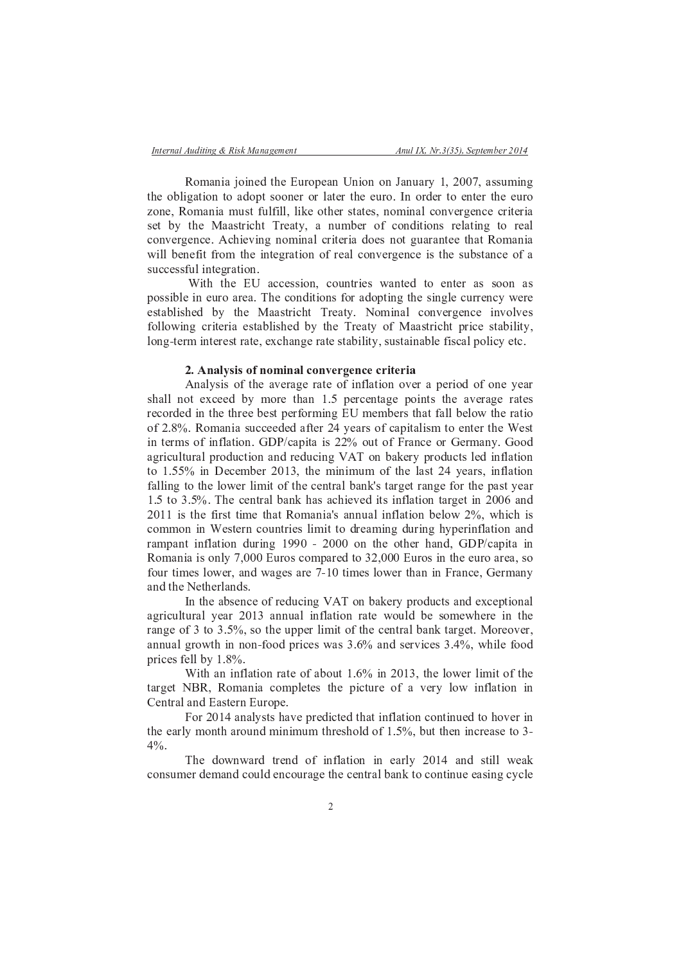Romania joined the European Union on January 1, 2007, assuming the obligation to adopt sooner or later the euro. In order to enter the euro zone, Romania must fulfill, like other states, nominal convergence criteria set by the Maastricht Treaty, a number of conditions relating to real convergence. Achieving nominal criteria does not guarantee that Romania will benefit from the integration of real convergence is the substance of a successful integration.

With the EU accession, countries wanted to enter as soon as possible in euro area. The conditions for adopting the single currency were established by the Maastricht Treaty. Nominal convergence involves following criteria established by the Treaty of Maastricht price stability, long-term interest rate, exchange rate stability, sustainable fiscal policy etc.

## 2. Analysis of nominal convergence criteria

Analysis of the average rate of inflation over a period of one year shall not exceed by more than 1.5 percentage points the average rates recorded in the three best performing EU members that fall below the ratio of 2.8%. Romania succeeded after 24 years of capitalism to enter the West in terms of inflation. GDP/capita is 22% out of France or Germany. Good agricultural production and reducing VAT on bakery products led inflation to 1.55% in December 2013, the minimum of the last 24 years, inflation falling to the lower limit of the central bank's target range for the past year 1.5 to 3.5%. The central bank has achieved its inflation target in 2006 and 2011 is the first time that Romania's annual inflation below 2%, which is common in Western countries limit to dreaming during hyperinflation and rampant inflation during 1990 - 2000 on the other hand, GDP/capita in Romania is only 7,000 Euros compared to 32,000 Euros in the euro area, so four times lower, and wages are 7-10 times lower than in France, Germany and the Netherlands.

In the absence of reducing VAT on bakery products and exceptional agricultural year 2013 annual inflation rate would be somewhere in the range of 3 to 3.5%, so the upper limit of the central bank target. Moreover, annual growth in non-food prices was 3.6% and services 3.4%, while food prices fell by 1.8%.

With an inflation rate of about 1.6% in 2013, the lower limit of the target NBR, Romania completes the picture of a very low inflation in Central and Eastern Europe.

For 2014 analysts have predicted that inflation continued to hover in the early month around minimum threshold of 1.5%, but then increase to 3- $4\%$ .

The downward trend of inflation in early 2014 and still weak consumer demand could encourage the central bank to continue easing cycle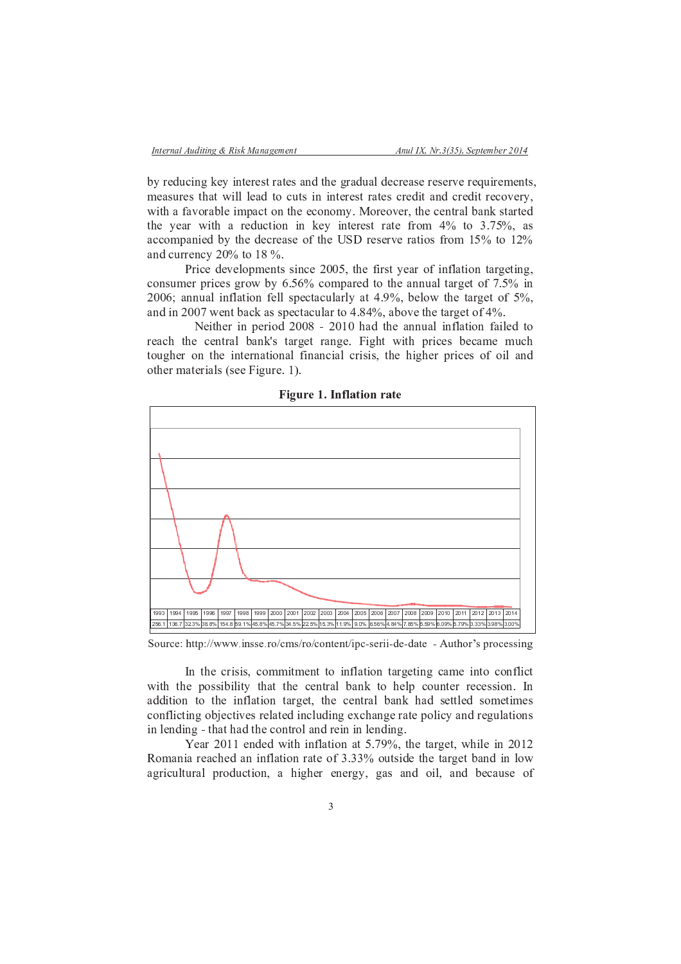by reducing key interest rates and the gradual decrease reserve requirements, measures that will lead to cuts in interest rates credit and credit recovery. with a favorable impact on the economy. Moreover, the central bank started the year with a reduction in key interest rate from 4% to 3.75%, as accompanied by the decrease of the USD reserve ratios from 15% to 12% and currency  $20\%$  to 18 %.

Price developments since 2005, the first year of inflation targeting, consumer prices grow by  $6.56\%$  compared to the annual target of 7.5% in 2006; annual inflation fell spectacularly at 4.9%, below the target of 5%, and in 2007 went back as spectacular to  $4.84\%$ , above the target of  $4\%$ .

Neither in period 2008 - 2010 had the annual inflation failed to reach the central bank's target range. Fight with prices became much tougher on the international financial crisis, the higher prices of oil and other materials (see Figure. 1).



Figure 1. Inflation rate

Source: http://www.insse.ro/cms/ro/content/ipc-serii-de-date - Author's processing

In the crisis, commitment to inflation targeting came into conflict with the possibility that the central bank to help counter recession. In addition to the inflation target, the central bank had settled sometimes conflicting objectives related including exchange rate policy and regulations in lending - that had the control and rein in lending.

Year 2011 ended with inflation at 5.79%, the target, while in 2012 Romania reached an inflation rate of 3.33% outside the target band in low agricultural production, a higher energy, gas and oil, and because of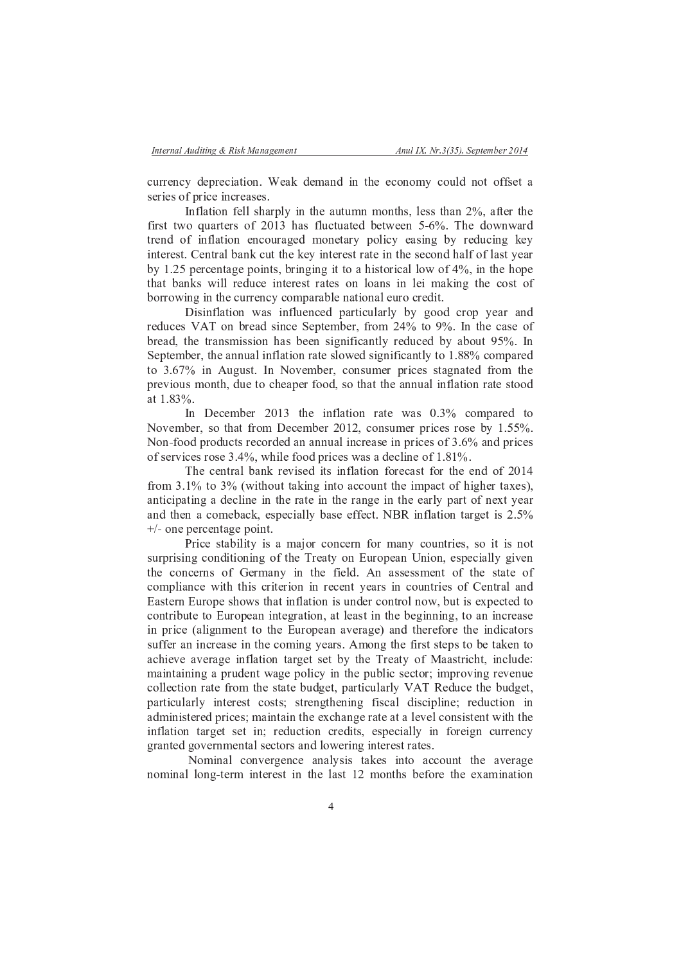currency depreciation. Weak demand in the economy could not offset a series of price increases.

Inflation fell sharply in the autumn months, less than 2%, after the first two quarters of 2013 has fluctuated between 5-6%. The downward trend of inflation encouraged monetary policy easing by reducing key interest. Central bank cut the key interest rate in the second half of last year by 1.25 percentage points, bringing it to a historical low of 4%, in the hope that banks will reduce interest rates on loans in lei making the cost of borrowing in the currency comparable national euro credit.

Disinflation was influenced particularly by good crop year and reduces VAT on bread since September, from 24% to 9%. In the case of bread, the transmission has been significantly reduced by about 95%. In September, the annual inflation rate slowed significantly to 1.88% compared to 3.67% in August. In November, consumer prices stagnated from the previous month, due to cheaper food, so that the annual inflation rate stood at  $1.83\%$ 

In December 2013 the inflation rate was 0.3% compared to November, so that from December 2012, consumer prices rose by 1.55%. Non-food products recorded an annual increase in prices of 3.6% and prices of services rose  $3.4\%$ , while food prices was a decline of  $1.81\%$ .

The central bank revised its inflation forecast for the end of 2014 from 3.1% to 3% (without taking into account the impact of higher taxes), anticipating a decline in the rate in the range in the early part of next year and then a comeback, especially base effect. NBR inflation target is 2.5%  $+/-$  one percentage point.

Price stability is a major concern for many countries, so it is not surprising conditioning of the Treaty on European Union, especially given the concerns of Germany in the field. An assessment of the state of compliance with this criterion in recent years in countries of Central and Eastern Europe shows that inflation is under control now, but is expected to contribute to European integration, at least in the beginning, to an increase in price (alignment to the European average) and therefore the indicators suffer an increase in the coming years. Among the first steps to be taken to achieve average inflation target set by the Treaty of Maastricht, include: maintaining a prudent wage policy in the public sector; improving revenue collection rate from the state budget, particularly VAT Reduce the budget, particularly interest costs; strengthening fiscal discipline; reduction in administered prices; maintain the exchange rate at a level consistent with the inflation target set in; reduction credits, especially in foreign currency granted governmental sectors and lowering interest rates.

Nominal convergence analysis takes into account the average nominal long-term interest in the last 12 months before the examination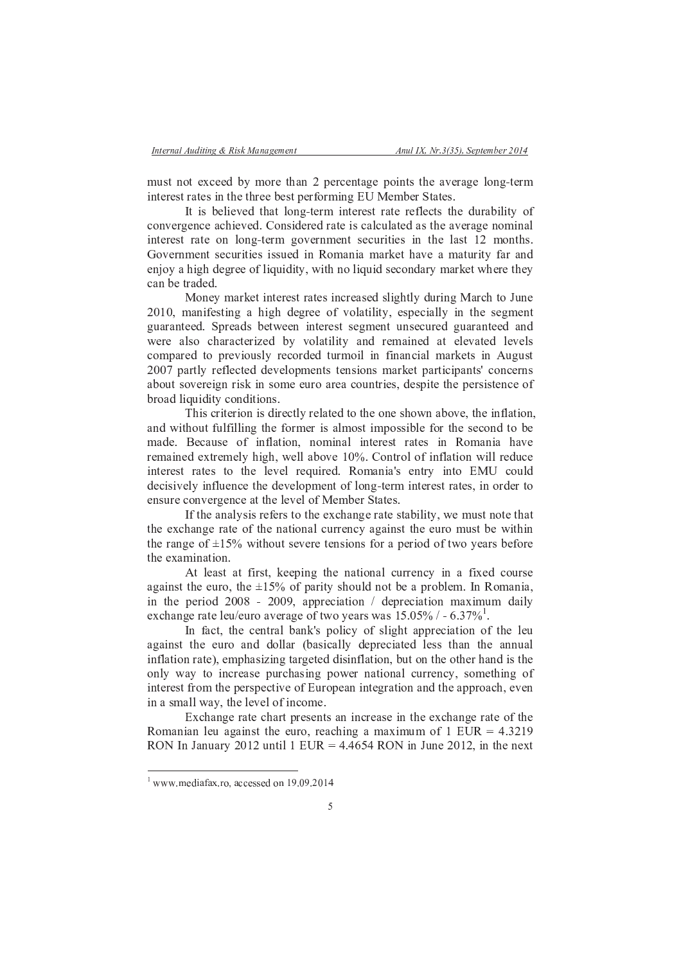must not exceed by more than 2 percentage points the average long-term interest rates in the three best performing EU Member States.

It is believed that long-term interest rate reflects the durability of convergence achieved. Considered rate is calculated as the average nominal interest rate on long-term government securities in the last 12 months. Government securities issued in Romania market have a maturity far and enjoy a high degree of liquidity, with no liquid secondary market where they can be traded.

Money market interest rates increased slightly during March to June 2010, manifesting a high degree of volatility, especially in the segment guaranteed. Spreads between interest segment unsecured guaranteed and were also characterized by volatility and remained at elevated levels compared to previously recorded turmoil in financial markets in August 2007 partly reflected developments tensions market participants' concerns about sovereign risk in some euro area countries, despite the persistence of broad liquidity conditions.

This criterion is directly related to the one shown above, the inflation, and without fulfilling the former is almost impossible for the second to be made. Because of inflation, nominal interest rates in Romania have remained extremely high, well above 10%. Control of inflation will reduce interest rates to the level required. Romania's entry into EMU could decisively influence the development of long-term interest rates, in order to ensure convergence at the level of Member States.

If the analysis refers to the exchange rate stability, we must note that the exchange rate of the national currency against the euro must be within the range of  $\pm 15\%$  without severe tensions for a period of two years before the examination.

At least at first, keeping the national currency in a fixed course against the euro, the  $\pm 15\%$  of parity should not be a problem. In Romania, in the period 2008 - 2009, appreciation / depreciation maximum daily exchange rate leu/euro average of two years was  $15.05\%$  / - 6.37%<sup>1</sup>.

In fact, the central bank's policy of slight appreciation of the leu against the euro and dollar (basically depreciated less than the annual inflation rate), emphasizing targeted disinflation, but on the other hand is the only way to increase purchasing power national currency, something of interest from the perspective of European integration and the approach, even in a small way, the level of income.

Exchange rate chart presents an increase in the exchange rate of the Romanian leu against the euro, reaching a maximum of  $1$  EUR = 4.3219 RON In January 2012 until 1 EUR =  $4.4654$  RON in June 2012, in the next

 $1$  www.mediafax.ro. accessed on 19.09.2014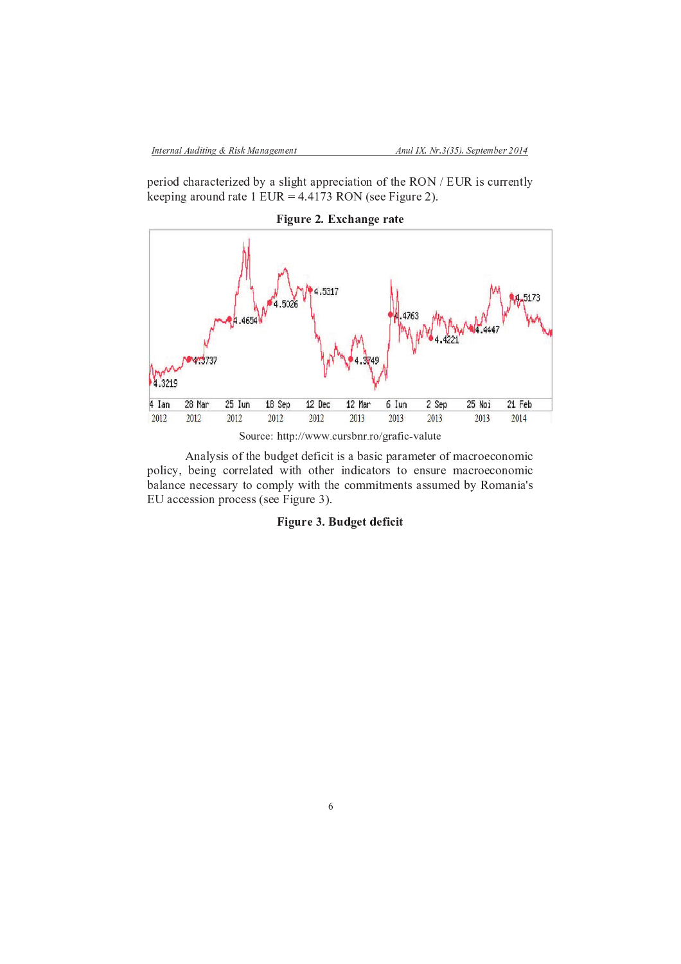period characterized by a slight appreciation of the RON / EUR is currently keeping around rate 1 EUR =  $4.4173$  RON (see Figure 2).



Figure 2. Exchange rate

Analysis of the budget deficit is a basic parameter of macroeconomic policy, being correlated with other indicators to ensure macroeconomic balance necessary to comply with the commitments assumed by Romania's EU accession process (see Figure 3).

# Figure 3. Budget deficit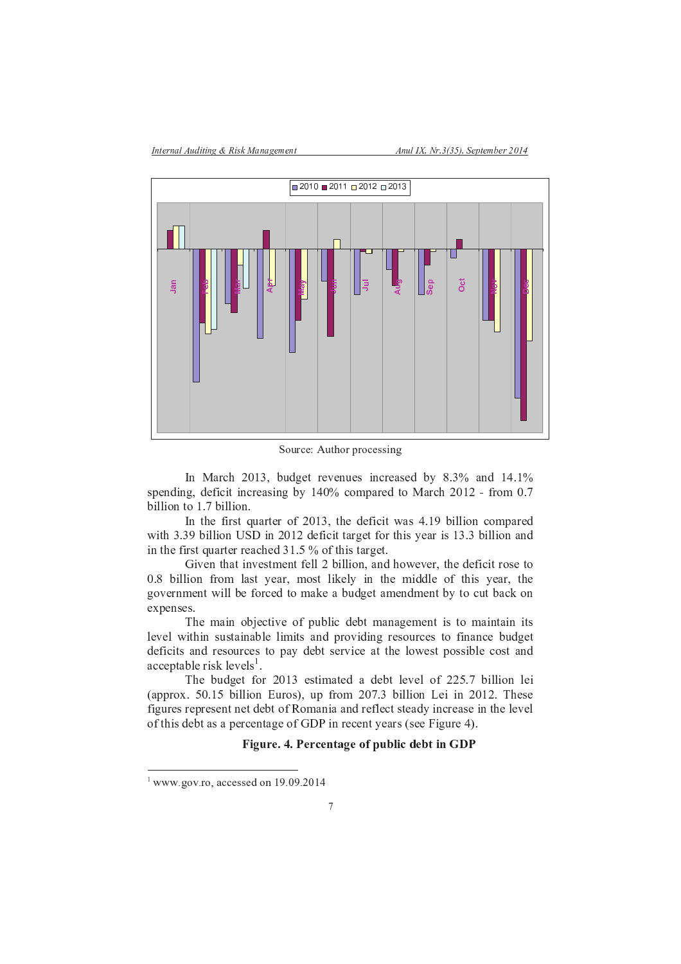

Source: Author processing

In March 2013, budget revenues increased by 8.3% and 14.1% spending, deficit increasing by 140% compared to March 2012 - from 0.7 billion to 1.7 billion.

In the first quarter of 2013, the deficit was 4.19 billion compared with 3.39 billion USD in 2012 deficit target for this year is 13.3 billion and in the first quarter reached  $31.5%$  of this target.

Given that investment fell 2 billion, and however, the deficit rose to 0.8 billion from last year, most likely in the middle of this year, the government will be forced to make a budget amendment by to cut back on expenses.

The main objective of public debt management is to maintain its level within sustainable limits and providing resources to finance budget deficits and resources to pay debt service at the lowest possible cost and  $acceptable risk levels<sup>1</sup>$ .

The budget for 2013 estimated a debt level of 225.7 billion lei (approx. 50.15 billion Euros), up from 207.3 billion Lei in 2012. These figures represent net debt of Romania and reflect steady increase in the level of this debt as a percentage of GDP in recent years (see Figure 4).

# Figure. 4. Percentage of public debt in GDP

 $1$  www.gov.ro, accessed on 19.09.2014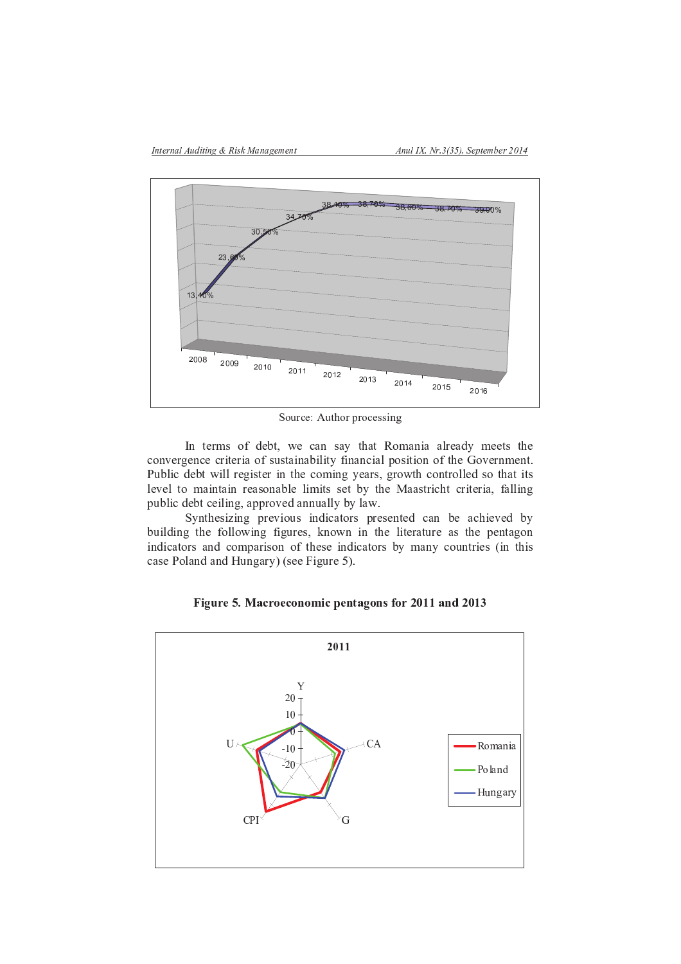

Source: Author processing

In terms of debt, we can say that Romania already meets the convergence criteria of sustainability financial position of the Government. Public debt will register in the coming years, growth controlled so that its level to maintain reasonable limits set by the Maastricht criteria, falling public debt ceiling, approved annually by law.

Synthesizing previous indicators presented can be achieved by building the following figures, known in the literature as the pentagon indicators and comparison of these indicators by many countries (in this case Poland and Hungary) (see Figure 5).





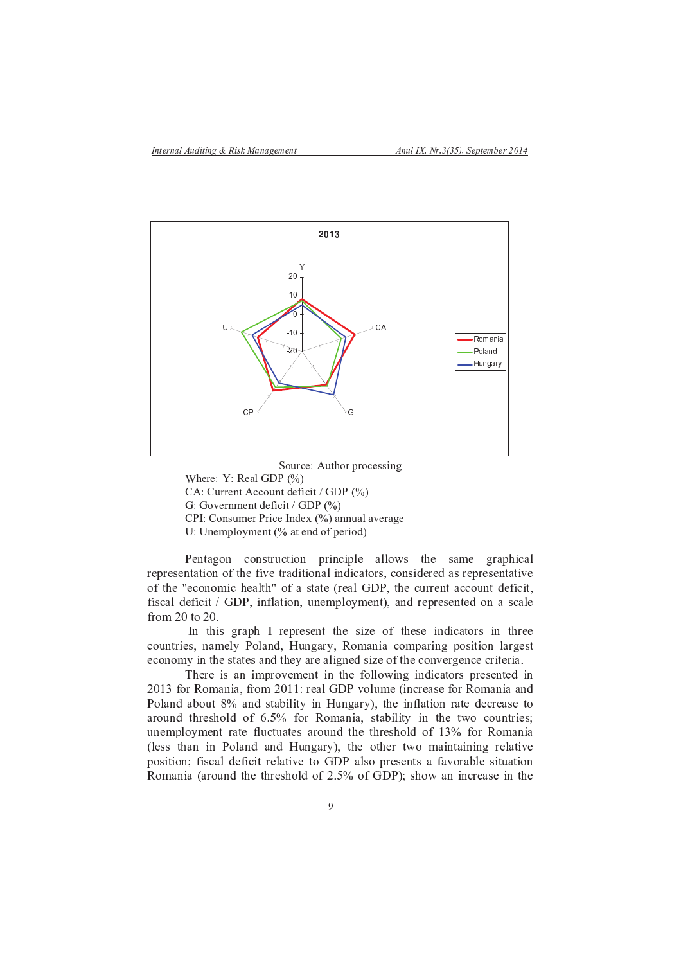

Source: Author processing Where:  $Y: Real GDP(%)$ CA: Current Account deficit / GDP (%) G: Government deficit / GDP (%) CPI: Consumer Price Index (%) annual average U: Unemployment (% at end of period)

Pentagon construction principle allows the same graphical representation of the five traditional indicators, considered as representative of the "economic health" of a state (real GDP, the current account deficit, fiscal deficit / GDP, inflation, unemployment), and represented on a scale from  $20$  to  $20$ .

In this graph I represent the size of these indicators in three countries, namely Poland, Hungary, Romania comparing position largest economy in the states and they are aligned size of the convergence criteria.

There is an improvement in the following indicators presented in 2013 for Romania, from 2011: real GDP volume (increase for Romania and Poland about 8% and stability in Hungary), the inflation rate decrease to around threshold of 6.5% for Romania, stability in the two countries; unemployment rate fluctuates around the threshold of 13% for Romania (less than in Poland and Hungary), the other two maintaining relative position; fiscal deficit relative to GDP also presents a favorable situation Romania (around the threshold of 2.5% of GDP); show an increase in the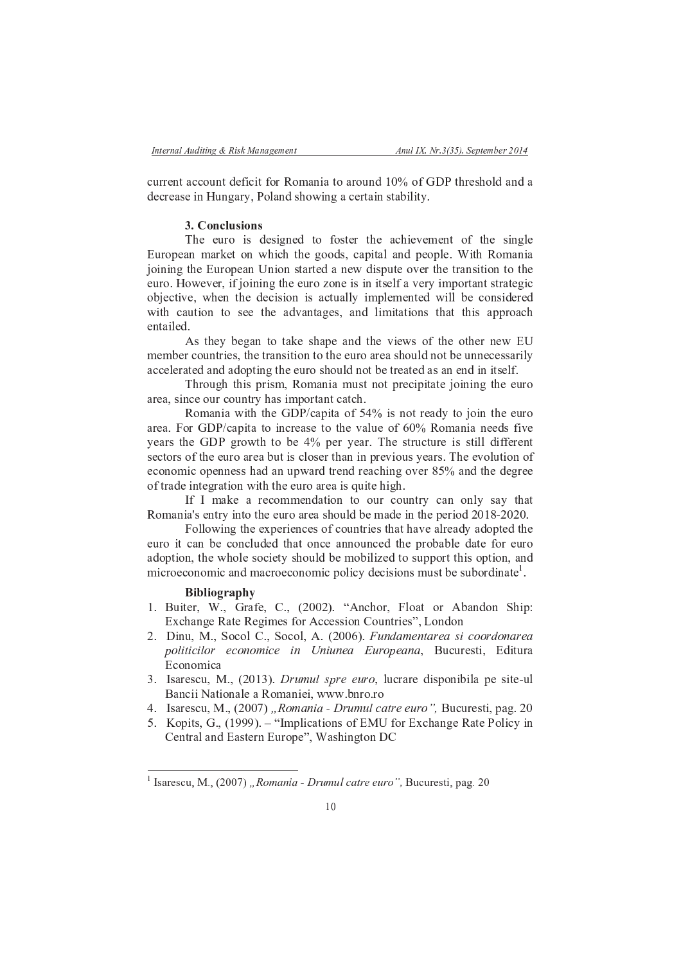current account deficit for Romania to around 10% of GDP threshold and a decrease in Hungary, Poland showing a certain stability.

## 3. Conclusions

The euro is designed to foster the achievement of the single European market on which the goods, capital and people. With Romania joining the European Union started a new dispute over the transition to the euro. However, if joining the euro zone is in itself a very important strategic objective, when the decision is actually implemented will be considered with caution to see the advantages, and limitations that this approach entailed.

As they began to take shape and the views of the other new EU member countries, the transition to the euro area should not be unnecessarily accelerated and adopting the euro should not be treated as an end in itself.

Through this prism, Romania must not precipitate joining the euro area, since our country has important catch.

Romania with the GDP/capita of 54% is not ready to join the euro area. For GDP/capita to increase to the value of 60% Romania needs five years the GDP growth to be 4% per year. The structure is still different sectors of the euro area but is closer than in previous years. The evolution of economic openness had an upward trend reaching over 85% and the degree of trade integration with the euro area is quite high.

If I make a recommendation to our country can only say that Romania's entry into the euro area should be made in the period 2018-2020.

Following the experiences of countries that have already adopted the euro it can be concluded that once announced the probable date for euro adoption, the whole society should be mobilized to support this option, and microeconomic and macroeconomic policy decisions must be subordinate<sup>1</sup>.

### **Bibliography**

- 1. Buiter, W., Grafe, C., (2002). "Anchor, Float or Abandon Ship: Exchange Rate Regimes for Accession Countries", London
- 2. Dinu, M., Socol C., Socol, A. (2006). Fundamentarea si coordonarea politicilor economice in Uniunea Europeana, Bucuresti, Editura Economica
- 3. Isarescu, M., (2013). Drumul spre euro, lucrare disponibila pe site-ul Bancii Nationale a Romaniei, www.bnro.ro
- 4. Isarescu, M., (2007) "Romania Drumul catre euro", Bucuresti, pag. 20
- 5. Kopits, G., (1999). "Implications of EMU for Exchange Rate Policy in Central and Eastern Europe", Washington DC

<sup>&</sup>lt;sup>1</sup> Isarescu, M., (2007) "Romania - Drumul catre euro", Bucuresti, pag. 20